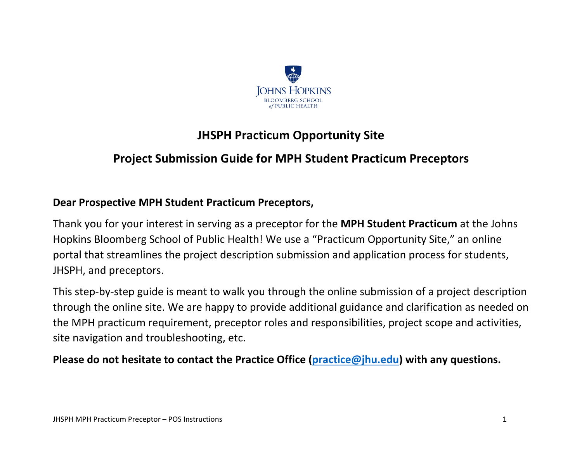

# **JHSPH Practicum Opportunity Site**

## **Project Submission Guide for MPH Student Practicum Preceptors**

#### **Dear Prospective MPH Student Practicum Preceptors,**

Thank you for your interest in serving as a preceptor for the **MPH Student Practicum** at the Johns Hopkins Bloomberg School of Public Health! We use a "Practicum Opportunity Site," an online portal that streamlines the project description submission and application process for students, JHSPH, and preceptors.

This step-by-step guide is meant to walk you through the online submission of a project description through the online site. We are happy to provide additional guidance and clarification as needed on the MPH practicum requirement, preceptor roles and responsibilities, project scope and activities, site navigation and troubleshooting, etc.

**Please do not hesitate to contact the Practice Office [\(practice@jhu.edu\)](mailto:practice@jhu.edu) with any questions.**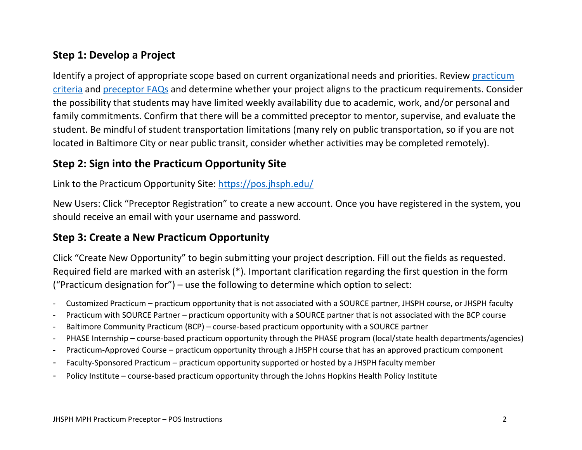### **Step 1: Develop a Project**

Identify a project of appropriate scope based on current organizational needs and priorities. Review [practicum](https://publichealth.jhu.edu/offices-and-services/office-of-public-health-practice-and-training/the-mph-practicum)  [criteria](https://publichealth.jhu.edu/offices-and-services/office-of-public-health-practice-and-training/the-mph-practicum) and [preceptor FAQs](https://publichealth.jhu.edu/offices-and-services/office-of-public-health-practice-and-training/information-for-preceptors/preceptor-faqs) and determine whether your project aligns to the practicum requirements. Consider the possibility that students may have limited weekly availability due to academic, work, and/or personal and family commitments. Confirm that there will be a committed preceptor to mentor, supervise, and evaluate the student. Be mindful of student transportation limitations (many rely on public transportation, so if you are not located in Baltimore City or near public transit, consider whether activities may be completed remotely).

### **Step 2: Sign into the Practicum Opportunity Site**

Link to the Practicum Opportunity Site:<https://pos.jhsph.edu/>

New Users: Click "Preceptor Registration" to create a new account. Once you have registered in the system, you should receive an email with your username and password.

#### **Step 3: Create a New Practicum Opportunity**

Click "Create New Opportunity" to begin submitting your project description. Fill out the fields as requested. Required field are marked with an asterisk (\*). Important clarification regarding the first question in the form ("Practicum designation for") – use the following to determine which option to select:

- Customized Practicum practicum opportunity that is not associated with a SOURCE partner, JHSPH course, or JHSPH faculty
- Practicum with SOURCE Partner practicum opportunity with a SOURCE partner that is not associated with the BCP course
- Baltimore Community Practicum (BCP) course-based practicum opportunity with a SOURCE partner
- PHASE Internship course-based practicum opportunity through the PHASE program (local/state health departments/agencies)
- Practicum-Approved Course practicum opportunity through a JHSPH course that has an approved practicum component
- Faculty-Sponsored Practicum practicum opportunity supported or hosted by a JHSPH faculty member
- Policy Institute course-based practicum opportunity through the Johns Hopkins Health Policy Institute